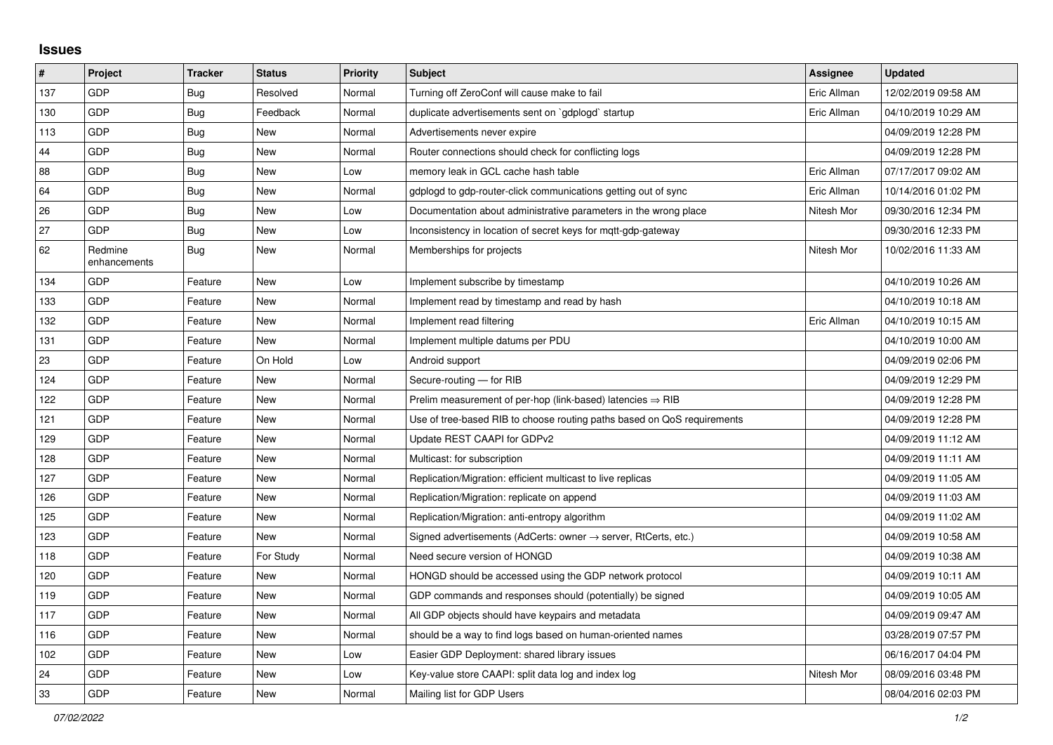## **Issues**

| #   | Project                 | <b>Tracker</b> | <b>Status</b> | Priority | <b>Subject</b>                                                             | Assignee    | <b>Updated</b>      |
|-----|-------------------------|----------------|---------------|----------|----------------------------------------------------------------------------|-------------|---------------------|
| 137 | GDP                     | Bug            | Resolved      | Normal   | Turning off ZeroConf will cause make to fail                               | Eric Allman | 12/02/2019 09:58 AM |
| 130 | GDP                     | <b>Bug</b>     | Feedback      | Normal   | duplicate advertisements sent on `gdplogd` startup                         | Eric Allman | 04/10/2019 10:29 AM |
| 113 | GDP                     | Bug            | <b>New</b>    | Normal   | Advertisements never expire                                                |             | 04/09/2019 12:28 PM |
| 44  | GDP                     | Bug            | <b>New</b>    | Normal   | Router connections should check for conflicting logs                       |             | 04/09/2019 12:28 PM |
| 88  | GDP                     | Bug            | <b>New</b>    | Low      | memory leak in GCL cache hash table                                        | Eric Allman | 07/17/2017 09:02 AM |
| 64  | GDP                     | Bug            | New           | Normal   | gdplogd to gdp-router-click communications getting out of sync             | Eric Allman | 10/14/2016 01:02 PM |
| 26  | GDP                     | Bug            | New           | Low      | Documentation about administrative parameters in the wrong place           | Nitesh Mor  | 09/30/2016 12:34 PM |
| 27  | GDP                     | <b>Bug</b>     | <b>New</b>    | Low      | Inconsistency in location of secret keys for mqtt-gdp-gateway              |             | 09/30/2016 12:33 PM |
| 62  | Redmine<br>enhancements | <b>Bug</b>     | <b>New</b>    | Normal   | Memberships for projects                                                   | Nitesh Mor  | 10/02/2016 11:33 AM |
| 134 | GDP                     | Feature        | New           | Low      | Implement subscribe by timestamp                                           |             | 04/10/2019 10:26 AM |
| 133 | GDP                     | Feature        | <b>New</b>    | Normal   | Implement read by timestamp and read by hash                               |             | 04/10/2019 10:18 AM |
| 132 | GDP                     | Feature        | New           | Normal   | Implement read filtering                                                   | Eric Allman | 04/10/2019 10:15 AM |
| 131 | GDP                     | Feature        | <b>New</b>    | Normal   | Implement multiple datums per PDU                                          |             | 04/10/2019 10:00 AM |
| 23  | GDP                     | Feature        | On Hold       | Low      | Android support                                                            |             | 04/09/2019 02:06 PM |
| 124 | GDP                     | Feature        | <b>New</b>    | Normal   | Secure-routing - for RIB                                                   |             | 04/09/2019 12:29 PM |
| 122 | GDP                     | Feature        | <b>New</b>    | Normal   | Prelim measurement of per-hop (link-based) latencies $\Rightarrow$ RIB     |             | 04/09/2019 12:28 PM |
| 121 | GDP                     | Feature        | <b>New</b>    | Normal   | Use of tree-based RIB to choose routing paths based on QoS requirements    |             | 04/09/2019 12:28 PM |
| 129 | GDP                     | Feature        | <b>New</b>    | Normal   | Update REST CAAPI for GDPv2                                                |             | 04/09/2019 11:12 AM |
| 128 | GDP                     | Feature        | <b>New</b>    | Normal   | Multicast: for subscription                                                |             | 04/09/2019 11:11 AM |
| 127 | GDP                     | Feature        | New           | Normal   | Replication/Migration: efficient multicast to live replicas                |             | 04/09/2019 11:05 AM |
| 126 | GDP                     | Feature        | <b>New</b>    | Normal   | Replication/Migration: replicate on append                                 |             | 04/09/2019 11:03 AM |
| 125 | GDP                     | Feature        | <b>New</b>    | Normal   | Replication/Migration: anti-entropy algorithm                              |             | 04/09/2019 11:02 AM |
| 123 | GDP                     | Feature        | <b>New</b>    | Normal   | Signed advertisements (AdCerts: owner $\rightarrow$ server, RtCerts, etc.) |             | 04/09/2019 10:58 AM |
| 118 | GDP                     | Feature        | For Study     | Normal   | Need secure version of HONGD                                               |             | 04/09/2019 10:38 AM |
| 120 | GDP                     | Feature        | <b>New</b>    | Normal   | HONGD should be accessed using the GDP network protocol                    |             | 04/09/2019 10:11 AM |
| 119 | GDP                     | Feature        | <b>New</b>    | Normal   | GDP commands and responses should (potentially) be signed                  |             | 04/09/2019 10:05 AM |
| 117 | GDP                     | Feature        | New           | Normal   | All GDP objects should have keypairs and metadata                          |             | 04/09/2019 09:47 AM |
| 116 | GDP                     | Feature        | <b>New</b>    | Normal   | should be a way to find logs based on human-oriented names                 |             | 03/28/2019 07:57 PM |
| 102 | GDP                     | Feature        | <b>New</b>    | Low      | Easier GDP Deployment: shared library issues                               |             | 06/16/2017 04:04 PM |
| 24  | GDP                     | Feature        | New           | Low      | Key-value store CAAPI: split data log and index log                        | Nitesh Mor  | 08/09/2016 03:48 PM |
| 33  | GDP                     | Feature        | New           | Normal   | Mailing list for GDP Users                                                 |             | 08/04/2016 02:03 PM |